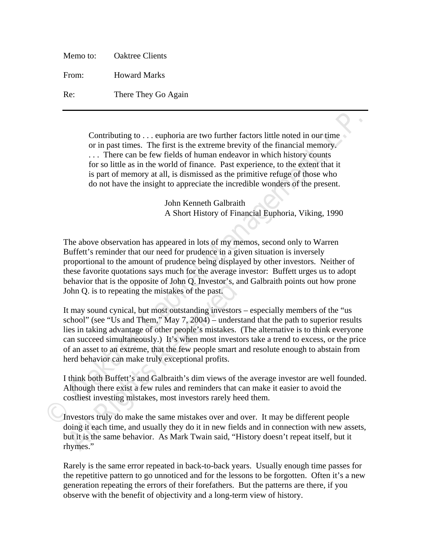| Memo to: | <b>Oaktree Clients</b> |
|----------|------------------------|
| From:    | <b>Howard Marks</b>    |
| Re:      | There They Go Again    |

Contributing to . . . euphoria are two further factors little noted in our time or in past times. The first is the extreme brevity of the financial memory. . . . There can be few fields of human endeavor in which history counts for so little as in the world of finance. Past experience, to the extent that it is part of memory at all, is dismissed as the primitive refuge of those who do not have the insight to appreciate the incredible wonders of the present.

> John Kenneth Galbraith A Short History of Financial Euphoria, Viking, 1990

The above observation has appeared in lots of my memos, second only to Warren Buffett's reminder that our need for prudence in a given situation is inversely proportional to the amount of prudence being displayed by other investors. Neither of these favorite quotations says much for the average investor: Buffett urges us to adopt behavior that is the opposite of John Q. Investor's, and Galbraith points out how prone John Q. is to repeating the mistakes of the past.

Contributing to . . . euphoria are two further factors little noted in our time<br>or in past times. The first is the extreme heveity of the financial memory.<br>
. . . There can be few fields of human endeavor in which history behavior that is the opposite of John Q. Investor's, and ohn Q. is to repeating the mistakes of the past.<br> **All Rights Conserved** is the past.<br> **All Rights Conserved** is the past of the past of the past is in taking advant It may sound cynical, but most outstanding investors – especially members of the "us school" (see "Us and Them," May 7, 2004) – understand that the path to superior results lies in taking advantage of other people's mistakes. (The alternative is to think everyone can succeed simultaneously.) It's when most investors take a trend to excess, or the price of an asset to an extreme, that the few people smart and resolute enough to abstain from herd behavior can make truly exceptional profits.

I think both Buffett's and Galbraith's dim views of the average investor are well founded. Although there exist a few rules and reminders that can make it easier to avoid the costliest investing mistakes, most investors rarely heed them.

Investors truly do make the same mistakes over and over. It may be different people doing it each time, and usually they do it in new fields and in connection with new assets, but it is the same behavior. As Mark Twain said, "History doesn't repeat itself, but it rhymes."

Rarely is the same error repeated in back-to-back years. Usually enough time passes for the repetitive pattern to go unnoticed and for the lessons to be forgotten. Often it's a new generation repeating the errors of their forefathers. But the patterns are there, if you observe with the benefit of objectivity and a long-term view of history.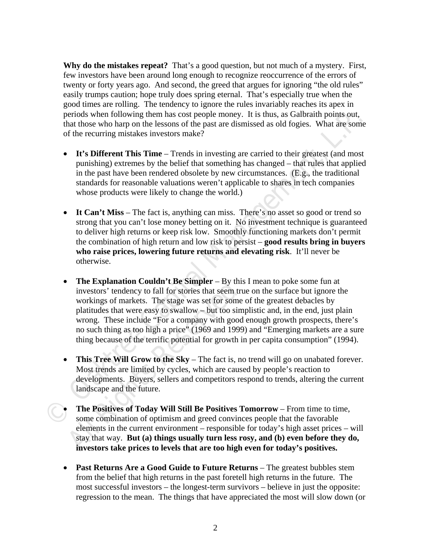**Why do the mistakes repeat?** That's a good question, but not much of a mystery. First, few investors have been around long enough to recognize reoccurrence of the errors of twenty or forty years ago. And second, the greed that argues for ignoring "the old rules" easily trumps caution; hope truly does spring eternal. That's especially true when the good times are rolling. The tendency to ignore the rules invariably reaches its apex in periods when following them has cost people money. It is thus, as Galbraith points out, that those who harp on the lessons of the past are dismissed as old fogies. What are some of the recurring mistakes investors make?

- It's Different This Time Trends in investing are carried to their greatest (and most punishing) extremes by the belief that something has changed – that rules that applied in the past have been rendered obsolete by new circumstances. (E.g., the traditional standards for reasonable valuations weren't applicable to shares in tech companies whose products were likely to change the world.)
- It Can't Miss The fact is, anything can miss. There's no asset so good or trend so strong that you can't lose money betting on it. No investment technique is guaranteed to deliver high returns or keep risk low. Smoothly functioning markets don't permit the combination of high return and low risk to persist – **good results bring in buyers who raise prices, lowering future returns and elevating risk**. It'll never be otherwise.
- proids where following them has cost propel momey. It is thus, as Galbraith points out,<br> **Capital Management (Alternative State State distinged and following the moment of the recurring mistakes investors make?<br>
<b>Capital M The Explanation Couldn't Be Simpler** – By this<br>investors' tendency to fall for stories that seem tri<br>workings of markets. The stage was set for some<br>platitudes that were easy to swallow – but too sim<br>wrong. These include • The Explanation Couldn't Be Simpler – By this I mean to poke some fun at investors' tendency to fall for stories that seem true on the surface but ignore the workings of markets. The stage was set for some of the greatest debacles by platitudes that were easy to swallow – but too simplistic and, in the end, just plain wrong. These include "For a company with good enough growth prospects, there's no such thing as too high a price" (1969 and 1999) and "Emerging markets are a sure thing because of the terrific potential for growth in per capita consumption" (1994).
	- **This Tree Will Grow to the Sky** The fact is, no trend will go on unabated forever. Most trends are limited by cycles, which are caused by people's reaction to developments. Buyers, sellers and competitors respond to trends, altering the current landscape and the future.
	- **The Positives of Today Will Still Be Positives Tomorrow** From time to time, some combination of optimism and greed convinces people that the favorable elements in the current environment – responsible for today's high asset prices – will stay that way. **But (a) things usually turn less rosy, and (b) even before they do, investors take prices to levels that are too high even for today's positives.**
	- **Past Returns Are a Good Guide to Future Returns** The greatest bubbles stem from the belief that high returns in the past foretell high returns in the future. The most successful investors – the longest-term survivors – believe in just the opposite: regression to the mean. The things that have appreciated the most will slow down (or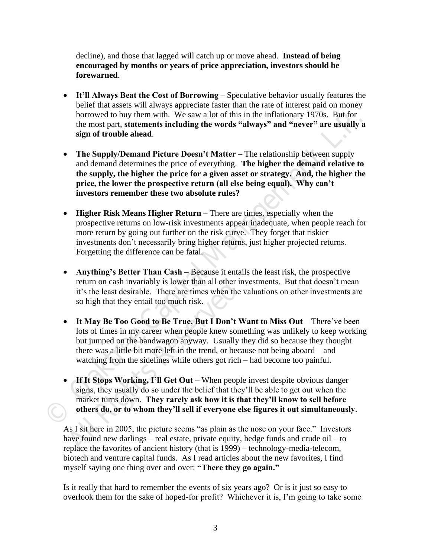decline), and those that lagged will catch up or move ahead. **Instead of being encouraged by months or years of price appreciation, investors should be forewarned**.

- **It'll Always Beat the Cost of Borrowing** Speculative behavior usually features the belief that assets will always appreciate faster than the rate of interest paid on money borrowed to buy them with. We saw a lot of this in the inflationary 1970s. But for the most part, **statements including the words "always" and "never" are usually a sign of trouble ahead**.
- **The Supply/Demand Picture Doesn't Matter The relationship between supply** and demand determines the price of everything. **The higher the demand relative to the supply, the higher the price for a given asset or strategy. And, the higher the price, the lower the prospective return (all else being equal). Why can't investors remember these two absolute rules?**
- **Higher Risk Means Higher Return** There are times, especially when the prospective returns on low-risk investments appear inadequate, when people reach for more return by going out further on the risk curve. They forget that riskier investments don't necessarily bring higher returns, just higher projected returns. Forgetting the difference can be fatal.
- **Anything's Better Than Cash** Because it entails the least risk, the prospective return on cash invariably is lower than all other investments. But that doesn't mean it's the least desirable. There are times when the valuations on other investments are so high that they entail too much risk.
- borrowed to buy them with. We suw a lot of this in the inflationary 1970s. But for<br>the most part, statements including the words "always" and "never" are usually a<br>sign of trouble ahead.<br>The Supply/Demand Picture Doesn't M return on cash invariably is lower than all other in<br>it's the least desirable. There are times when the<br>so high that they entail too much risk.<br>**It May Be Too Good to Be True, But I Don't V**<br>lots of times in my career when • It May Be Too Good to Be True, But I Don't Want to Miss Out – There've been lots of times in my career when people knew something was unlikely to keep working but jumped on the bandwagon anyway. Usually they did so because they thought there was a little bit more left in the trend, or because not being aboard – and watching from the sidelines while others got rich – had become too painful.
	- If It Stops Working, I'll Get Out When people invest despite obvious danger signs, they usually do so under the belief that they'll be able to get out when the market turns down. **They rarely ask how it is that they'll know to sell before others do, or to whom they'll sell if everyone else figures it out simultaneously**.

As I sit here in 2005, the picture seems "as plain as the nose on your face." Investors have found new darlings – real estate, private equity, hedge funds and crude oil – to replace the favorites of ancient history (that is 1999) – technology-media-telecom, biotech and venture capital funds. As I read articles about the new favorites, I find myself saying one thing over and over: **"There they go again."**

Is it really that hard to remember the events of six years ago? Or is it just so easy to overlook them for the sake of hoped-for profit? Whichever it is, I'm going to take some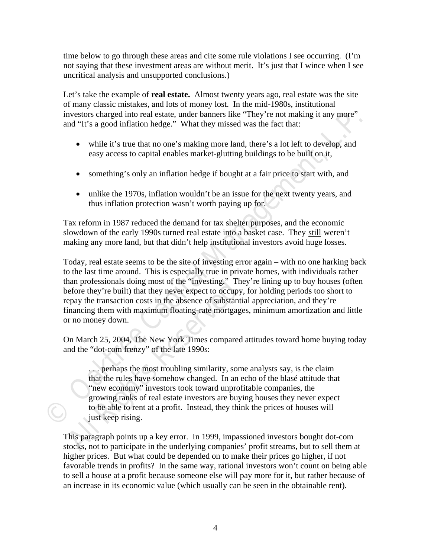time below to go through these areas and cite some rule violations I see occurring. (I'm not saying that these investment areas are without merit. It's just that I wince when I see uncritical analysis and unsupported conclusions.)

Let's take the example of **real estate.** Almost twenty years ago, real estate was the site of many classic mistakes, and lots of money lost. In the mid-1980s, institutional investors charged into real estate, under banners like "They're not making it any more" and "It's a good inflation hedge." What they missed was the fact that:

- while it's true that no one's making more land, there's a lot left to develop, and easy access to capital enables market-glutting buildings to be built on it,
- something's only an inflation hedge if bought at a fair price to start with, and
- unlike the 1970s, inflation wouldn't be an issue for the next twenty years, and thus inflation protection wasn't worth paying up for.

Tax reform in 1987 reduced the demand for tax shelter purposes, and the economic slowdown of the early 1990s turned real estate into a basket case. They still weren't making any more land, but that didn't help institutional investors avoid huge losses.

investors charged into creat estate, under banners like<sup>2</sup>They' re not making it any more<br> **Solution** The a good inflation hedge." What they missed was the fact that:<br> **CAPI THE THE THE WANAGE THE THE THE THE THE THE THE T** Today, real estate seems to be the site of investing error again – with no one harking back to the last time around. This is especially true in private homes, with individuals rather than professionals doing most of the "investing." They're lining up to buy houses (often before they're built) that they never expect to occupy, for holding periods too short to repay the transaction costs in the absence of substantial appreciation, and they're financing them with maximum floating-rate mortgages, minimum amortization and little or no money down.

On March 25, 2004, The New York Times compared attitudes toward home buying today and the "dot-com frenzy" of the late 1990s:

man protessionals doing most of the Investing. The<br>defore they're built) that they never expect to occupy<br>epay the transaction costs in the absence of substanti<br>inancing them with maximum floating-rate mortgage<br>or no money . . . perhaps the most troubling similarity, some analysts say, is the claim that the rules have somehow changed. In an echo of the blasé attitude that "new economy" investors took toward unprofitable companies, the growing ranks of real estate investors are buying houses they never expect to be able to rent at a profit. Instead, they think the prices of houses will just keep rising.

This paragraph points up a key error. In 1999, impassioned investors bought dot-com stocks, not to participate in the underlying companies' profit streams, but to sell them at higher prices. But what could be depended on to make their prices go higher, if not favorable trends in profits? In the same way, rational investors won't count on being able to sell a house at a profit because someone else will pay more for it, but rather because of an increase in its economic value (which usually can be seen in the obtainable rent).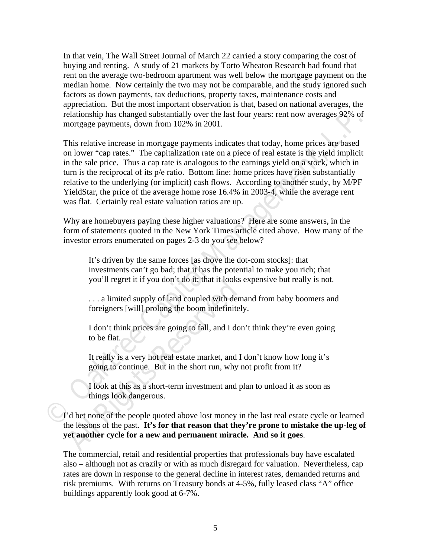In that vein, The Wall Street Journal of March 22 carried a story comparing the cost of buying and renting. A study of 21 markets by Torto Wheaton Research had found that rent on the average two-bedroom apartment was well below the mortgage payment on the median home. Now certainly the two may not be comparable, and the study ignored such factors as down payments, tax deductions, property taxes, maintenance costs and appreciation. But the most important observation is that, based on national averages, the relationship has changed substantially over the last four years: rent now averages 92% of mortgage payments, down from 102% in 2001.

relationship has change substantially over the last four years: rent now averages 92% of<br>mortgage payments, down from 102% in 2001.<br>This relative increase in mortgage payments indicates that today, home prices are based<br>on This relative increase in mortgage payments indicates that today, home prices are based on lower "cap rates." The capitalization rate on a piece of real estate is the yield implicit in the sale price. Thus a cap rate is analogous to the earnings yield on a stock, which in turn is the reciprocal of its p/e ratio. Bottom line: home prices have risen substantially relative to the underlying (or implicit) cash flows. According to another study, by M/PF YieldStar, the price of the average home rose 16.4% in 2003-4, while the average rent was flat. Certainly real estate valuation ratios are up.

Why are homebuyers paying these higher valuations? Here are some answers, in the form of statements quoted in the New York Times article cited above. How many of the investor errors enumerated on pages 2-3 do you see below?

It's driven by the same forces [as drove the dot-com stocks]: that investments can't go bad; that it has the potential to make you rich; that you'll regret it if you don't do it; that it looks expensive but really is not.

. . . a limited supply of land coupled with demand from baby boomers and foreigners [will] prolong the boom indefinitely.

I don't think prices are going to fall, and I don't think they're even going to be flat.

It really is a very hot real estate market, and I don't know how long it's going to continue. But in the short run, why not profit from it?

I look at this as a short-term investment and plan to unload it as soon as things look dangerous.

Figure 1.1 Fourth and the H, that it books<br>
... a limited supply of land coupled with dem<br>
foreigners [will] prolong the boom indefinitel<br>
I don't think prices are going to fall, and I dor<br>
to be flat.<br>
It really is a very I'd bet none of the people quoted above lost money in the last real estate cycle or learned the lessons of the past. **It's for that reason that they're prone to mistake the up-leg of yet another cycle for a new and permanent miracle. And so it goes**.

The commercial, retail and residential properties that professionals buy have escalated also – although not as crazily or with as much disregard for valuation. Nevertheless, cap rates are down in response to the general decline in interest rates, demanded returns and risk premiums. With returns on Treasury bonds at 4-5%, fully leased class "A" office buildings apparently look good at 6-7%.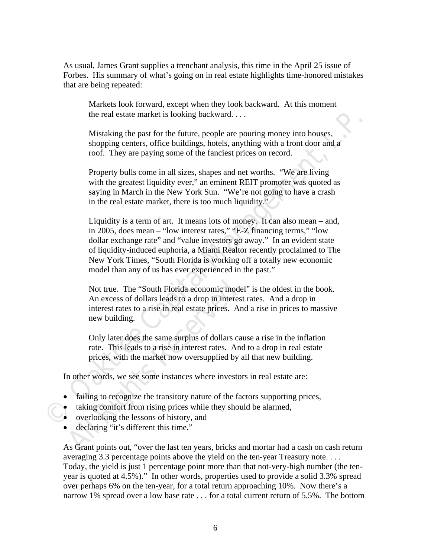As usual, James Grant supplies a trenchant analysis, this time in the April 25 issue of Forbes. His summary of what's going on in real estate highlights time-honored mistakes that are being repeated:

Markets look forward, except when they look backward. At this moment the real estate market is looking backward. . . .

Mistaking the past for the future, people are pouring money into houses, shopping centers, office buildings, hotels, anything with a front door and a roof. They are paying some of the fanciest prices on record.

Property bulls come in all sizes, shapes and net worths. "We are living with the greatest liquidity ever," an eminent REIT promoter was quoted as saying in March in the New York Sun. "We're not going to have a crash in the real estate market, there is too much liquidity."

the real estate market is looking backward....<br>
Mistaking the past for the future, people are pouring money into houses,<br>
shopping centers, office buildings, hotels, anything with a front door and a<br>
roof. They are paying Liquidity is a term of art. It means lots of money. It can also mean – and, in 2005, does mean – "low interest rates," "E-Z financing terms," "low dollar exchange rate" and "value investors go away." In an evident state of liquidity-induced euphoria, a Miami Realtor recently proclaimed to The New York Times, "South Florida is working off a totally new economic model than any of us has ever experienced in the past."

Not true. The "South Florida economic mode<br>An excess of dollars leads to a drop in interest<br>interest rates to a rise in real estate prices. An<br>new building.<br>Only later does the same surplus of dollars ca<br>rate. This leads t Not true. The "South Florida economic model" is the oldest in the book. An excess of dollars leads to a drop in interest rates. And a drop in interest rates to a rise in real estate prices. And a rise in prices to massive new building.

Only later does the same surplus of dollars cause a rise in the inflation rate. This leads to a rise in interest rates. And to a drop in real estate prices, with the market now oversupplied by all that new building.

In other words, we see some instances where investors in real estate are:

- failing to recognize the transitory nature of the factors supporting prices,
- taking comfort from rising prices while they should be alarmed,
- overlooking the lessons of history, and
- declaring "it's different this time."

As Grant points out, "over the last ten years, bricks and mortar had a cash on cash return averaging 3.3 percentage points above the yield on the ten-year Treasury note. . . . Today, the yield is just 1 percentage point more than that not-very-high number (the tenyear is quoted at 4.5%)." In other words, properties used to provide a solid 3.3% spread over perhaps 6% on the ten-year, for a total return approaching 10%. Now there's a narrow 1% spread over a low base rate . . . for a total current return of 5.5%. The bottom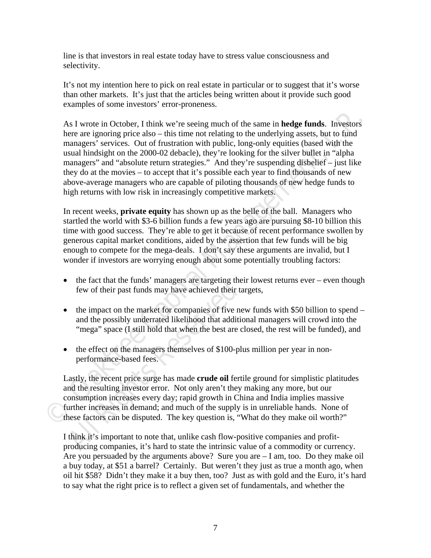line is that investors in real estate today have to stress value consciousness and selectivity.

It's not my intention here to pick on real estate in particular or to suggest that it's worse than other markets. It's just that the articles being written about it provide such good examples of some investors' error-proneness.

As I wrote in October, I think we're seeing much of the same in **hedge funds**. Investors<br>here are ignoring price also - this time not relating to the underlying assets, but to find<br>managers' services. Out of frustration wi As I wrote in October, I think we're seeing much of the same in **hedge funds**. Investors here are ignoring price also – this time not relating to the underlying assets, but to fund managers' services. Out of frustration with public, long-only equities (based with the usual hindsight on the 2000-02 debacle), they're looking for the silver bullet in "alpha managers" and "absolute return strategies." And they're suspending disbelief – just like they do at the movies – to accept that it's possible each year to find thousands of new above-average managers who are capable of piloting thousands of new hedge funds to high returns with low risk in increasingly competitive markets.

In recent weeks, **private equity** has shown up as the belle of the ball. Managers who startled the world with \$3-6 billion funds a few years ago are pursuing \$8-10 billion this time with good success. They're able to get it because of recent performance swollen by generous capital market conditions, aided by the assertion that few funds will be big enough to compete for the mega-deals. I don't say these arguments are invalid, but I wonder if investors are worrying enough about some potentially troubling factors:

- $\bullet$  the fact that the funds' managers are targeting their lowest returns ever even though few of their past funds may have achieved their targets,
- $\bullet$  the impact on the market for companies of five new funds with \$50 billion to spend and the possibly underrated likelihood that additional managers will crowd into the "mega" space (I still hold that when the best are closed, the rest will be funded), and
- the effect on the managers themselves of \$100-plus million per year in nonperformance-based fees.

In the ract that the runds managers are targeting the<br>few of their past funds may have achieved their ta<br>the impact on the market for companies of five ne<br>and the possibly underrated likelihood that addition<br>"mega" space ( Lastly, the recent price surge has made **crude oil** fertile ground for simplistic platitudes and the resulting investor error. Not only aren't they making any more, but our consumption increases every day; rapid growth in China and India implies massive further increases in demand; and much of the supply is in unreliable hands. None of these factors can be disputed. The key question is, "What do they make oil worth?"

I think it's important to note that, unlike cash flow-positive companies and profitproducing companies, it's hard to state the intrinsic value of a commodity or currency. Are you persuaded by the arguments above? Sure you are – I am, too. Do they make oil a buy today, at \$51 a barrel? Certainly. But weren't they just as true a month ago, when oil hit \$58? Didn't they make it a buy then, too? Just as with gold and the Euro, it's hard to say what the right price is to reflect a given set of fundamentals, and whether the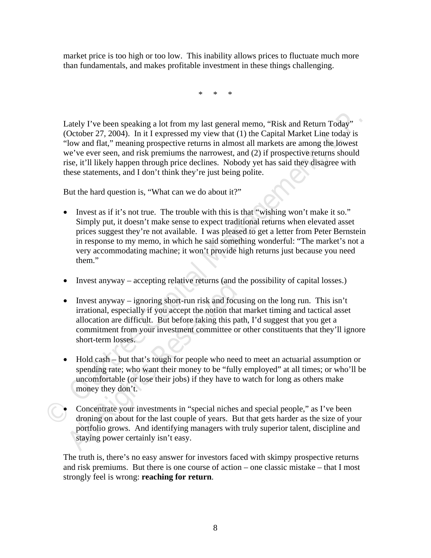market price is too high or too low. This inability allows prices to fluctuate much more than fundamentals, and makes profitable investment in these things challenging.

\* \* \*

Lately I've been speaking a lot from my last general memo, "Risk and Return Today" (October 27, 2004). In it I expressed my view that (1) the Capital Market Line today is "low and flat," meaning prospective returns in almost all markets are among the lowest we've ever seen, and risk premiums the narrowest, and (2) if prospective returns should rise, it'll likely happen through price declines. Nobody yet has said they disagree with these statements, and I don't think they're just being polite.

But the hard question is, "What can we do about it?"

- Lately I've been speaking a lot from my last general memo. "Risk and Return Today"<br>
(October 27, 2004). In it I expressed my view that (1) the Capital Market Line today<br>
"iow and flat," meaning prospective returns in almo • Invest as if it's not true. The trouble with this is that "wishing won't make it so." Simply put, it doesn't make sense to expect traditional returns when elevated asset prices suggest they're not available. I was pleased to get a letter from Peter Bernstein in response to my memo, in which he said something wonderful: "The market's not a very accommodating machine; it won't provide high returns just because you need them."
	- Invest anyway accepting relative returns (and the possibility of capital losses.)
	- Invest anyway accepting relative returns (and the linear timest anyway ignoring short-run risk and focus irrational, especially if you accept the notion that allocation are difficult. But before taking this pat commitm • Invest anyway – ignoring short-run risk and focusing on the long run. This isn't irrational, especially if you accept the notion that market timing and tactical asset allocation are difficult. But before taking this path, I'd suggest that you get a commitment from your investment committee or other constituents that they'll ignore short-term losses.
	- Hold cash but that's tough for people who need to meet an actuarial assumption or spending rate; who want their money to be "fully employed" at all times; or who'll be uncomfortable (or lose their jobs) if they have to watch for long as others make money they don't.
	- Concentrate your investments in "special niches and special people," as I've been droning on about for the last couple of years. But that gets harder as the size of your portfolio grows. And identifying managers with truly superior talent, discipline and staying power certainly isn't easy.

The truth is, there's no easy answer for investors faced with skimpy prospective returns and risk premiums. But there is one course of action – one classic mistake – that I most strongly feel is wrong: **reaching for return**.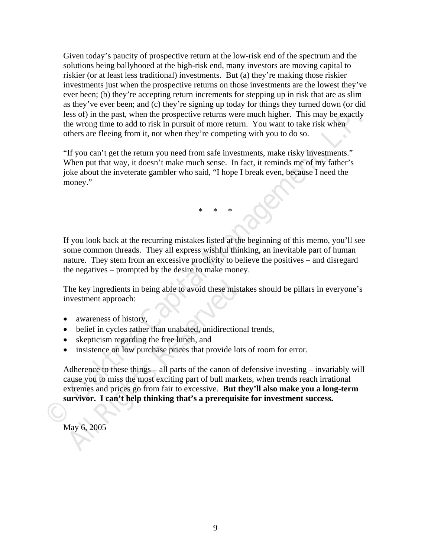Given today's paucity of prospective return at the low-risk end of the spectrum and the solutions being ballyhooed at the high-risk end, many investors are moving capital to riskier (or at least less traditional) investments. But (a) they're making those riskier investments just when the prospective returns on those investments are the lowest they've ever been; (b) they're accepting return increments for stepping up in risk that are as slim as they've ever been; and (c) they're signing up today for things they turned down (or did less of) in the past, when the prospective returns were much higher. This may be exactly the wrong time to add to risk in pursuit of more return. You want to take risk when others are fleeing from it, not when they're competing with you to do so.

"If you can't get the return you need from safe investments, make risky investments." When put that way, it doesn't make much sense. In fact, it reminds me of my father's joke about the inveterate gambler who said, "I hope I break even, because I need the money."

**Example 11** the past, when the prospective returns were much higher. This may be exactly the wrong time to add to risk in pursuit of none return. You want to take risk when<br>
orbers are fleeing from it, not when they're co If you look back at the recurring mistakes listed at the beginning of this memo, you'll see some common threads. They all express wishful thinking, an inevitable part of human nature. They stem from an excessive proclivity to believe the positives – and disregard the negatives – prompted by the desire to make money.

\* \* \*

The key ingredients in being able to avoid these mistakes should be pillars in everyone's investment approach:

- awareness of history,
- belief in cycles rather than unabated, unidirectional trends,
- skepticism regarding the free lunch, and
- insistence on low purchase prices that provide lots of room for error.

The key ingredients in being able to avoid these mist<br>
Investment approach:<br> **All All Rights All Rights All Rights All Rights Reserved**<br> **All All Rights Respective Constrained All Rights Respective**<br> **All All Rights Respec** Adherence to these things – all parts of the canon of defensive investing – invariably will cause you to miss the most exciting part of bull markets, when trends reach irrational extremes and prices go from fair to excessive. **But they'll also make you a long-term survivor. I can't help thinking that's a prerequisite for investment success.** 

May 6, 2005